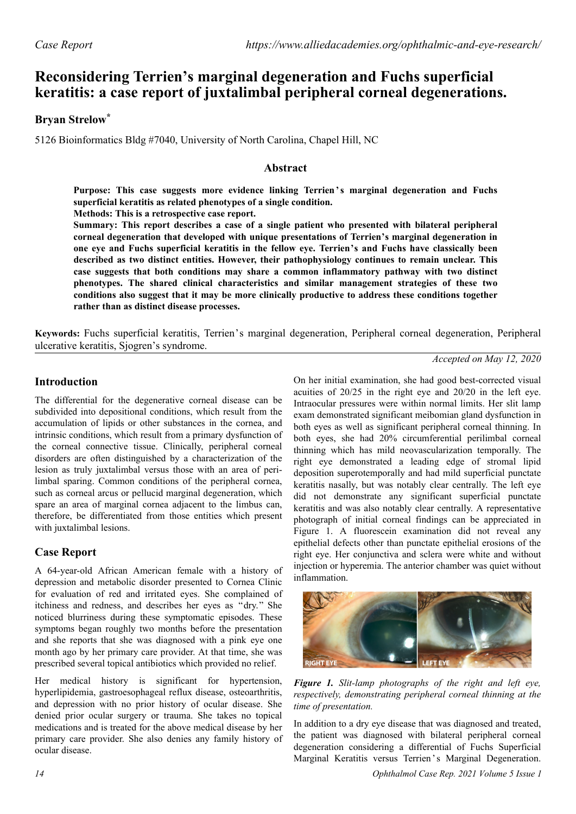# **Reconsidering Terrien's marginal degeneration and Fuchs superficial keratitis: a case report of juxtalimbal peripheral corneal degenerations.**

## **Bryan Strelow\***

5126 Bioinformatics Bldg #7040, University of North Carolina, Chapel Hill, NC

#### **Abstract**

Purpose: This case suggests more evidence linking Terrien's marginal degeneration and Fuchs **superficial keratitis as related phenotypes of a single condition.**

**Methods: This is a retrospective case report.**

**Summary: This report describes a case of a single patient who presented with bilateral peripheral corneal degeneration that developed with unique presentations of Terrien's marginal degeneration in one eye and Fuchs superficial keratitis in the fellow eye. Terrien's and Fuchs have classically been described as two distinct entities. However, their pathophysiology continues to remain unclear. This case suggests that both conditions may share a common inflammatory pathway with two distinct phenotypes. The shared clinical characteristics and similar management strategies of these two conditions also suggest that it may be more clinically productive to address these conditions together rather than as distinct disease processes.**

**Keywords:** Fuchs superficial keratitis, Terrien's marginal degeneration, Peripheral corneal degeneration, Peripheral ulcerative keratitis, Sjogren's syndrome.

*Accepted on May 12, 2020*

## **Introduction**

The differential for the degenerative corneal disease can be subdivided into depositional conditions, which result from the accumulation of lipids or other substances in the cornea, and intrinsic conditions, which result from a primary dysfunction of the corneal connective tissue. Clinically, peripheral corneal disorders are often distinguished by a characterization of the lesion as truly juxtalimbal versus those with an area of perilimbal sparing. Common conditions of the peripheral cornea, such as corneal arcus or pellucid marginal degeneration, which spare an area of marginal cornea adjacent to the limbus can, therefore, be differentiated from those entities which present with juxtalimbal lesions.

## **Case Report**

A 64-year-old African American female with a history of depression and metabolic disorder presented to Cornea Clinic for evaluation of red and irritated eyes. She complained of itchiness and redness, and describes her eyes as "dry." She noticed blurriness during these symptomatic episodes. These symptoms began roughly two months before the presentation and she reports that she was diagnosed with a pink eye one month ago by her primary care provider. At that time, she was prescribed several topical antibiotics which provided no relief.

Her medical history is significant for hypertension, hyperlipidemia, gastroesophageal reflux disease, osteoarthritis, and depression with no prior history of ocular disease. She denied prior ocular surgery or trauma. She takes no topical medications and is treated for the above medical disease by her primary care provider. She also denies any family history of ocular disease.

On her initial examination, she had good best-corrected visual acuities of 20/25 in the right eye and 20/20 in the left eye. Intraocular pressures were within normal limits. Her slit lamp exam demonstrated significant meibomian gland dysfunction in both eyes as well as significant peripheral corneal thinning. In both eyes, she had 20% circumferential perilimbal corneal thinning which has mild neovascularization temporally. The right eye demonstrated a leading edge of stromal lipid deposition superotemporally and had mild superficial punctate keratitis nasally, but was notably clear centrally. The left eye did not demonstrate any significant superficial punctate keratitis and was also notably clear centrally. A representative photograph of initial corneal findings can be appreciated in Figure 1. A fluorescein examination did not reveal any epithelial defects other than punctate epithelial erosions of the right eye. Her conjunctiva and sclera were white and without injection or hyperemia. The anterior chamber was quiet without inflammation.



*Figure 1. Slit-lamp photographs of the right and left eye, respectively, demonstrating peripheral corneal thinning at the time of presentation.*

In addition to a dry eye disease that was diagnosed and treated, the patient was diagnosed with bilateral peripheral corneal degeneration considering a differential of Fuchs Superficial Marginal Keratitis versus Terrien's Marginal Degeneration.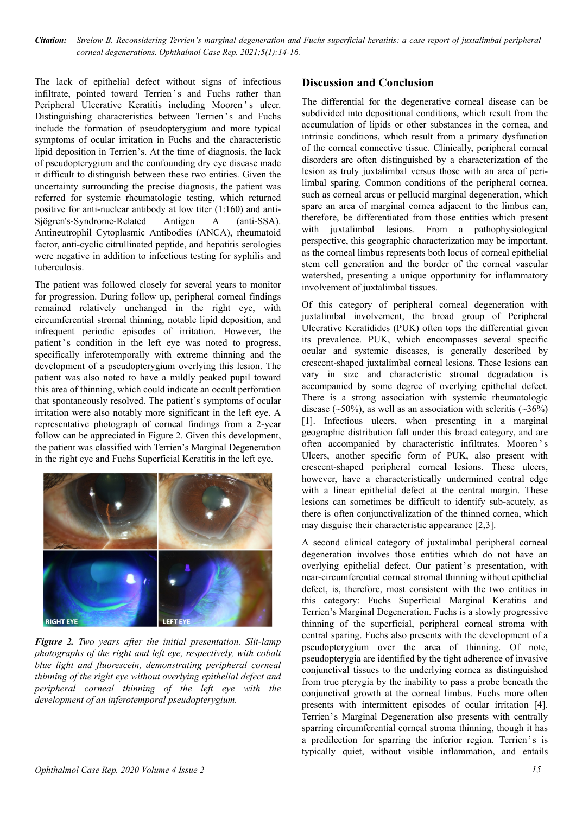*Citation: Strelow B. Reconsidering Terrien's marginal degeneration and Fuchs superficial keratitis: a case report of juxtalimbal peripheral corneal degenerations. Ophthalmol Case Rep. 2021;5(1):14-16.*

The lack of epithelial defect without signs of infectious infiltrate, pointed toward Terrien 's and Fuchs rather than Peripheral Ulcerative Keratitis including Mooren 's ulcer. Distinguishing characteristics between Terrien's and Fuchs include the formation of pseudopterygium and more typical symptoms of ocular irritation in Fuchs and the characteristic lipid deposition in Terrien's. At the time of diagnosis, the lack of pseudopterygium and the confounding dry eye disease made it difficult to distinguish between these two entities. Given the uncertainty surrounding the precise diagnosis, the patient was referred for systemic rheumatologic testing, which returned positive for anti-nuclear antibody at low titer (1:160) and anti-Sjögren's-Syndrome-Related Antigen A (anti-SSA). Antineutrophil Cytoplasmic Antibodies (ANCA), rheumatoid factor, anti-cyclic citrullinated peptide, and hepatitis serologies were negative in addition to infectious testing for syphilis and tuberculosis.

The patient was followed closely for several years to monitor for progression. During follow up, peripheral corneal findings remained relatively unchanged in the right eye, with circumferential stromal thinning, notable lipid deposition, and infrequent periodic episodes of irritation. However, the patient's condition in the left eye was noted to progress, specifically inferotemporally with extreme thinning and the development of a pseudopterygium overlying this lesion. The patient was also noted to have a mildly peaked pupil toward this area of thinning, which could indicate an occult perforation that spontaneously resolved. The patient's symptoms of ocular irritation were also notably more significant in the left eye. A representative photograph of corneal findings from a 2-year follow can be appreciated in Figure 2. Given this development, the patient was classified with Terrien's Marginal Degeneration in the right eye and Fuchs Superficial Keratitis in the left eye.



*Figure 2. Two years after the initial presentation. Slit-lamp photographs of the right and left eye, respectively, with cobalt blue light and fluorescein, demonstrating peripheral corneal thinning of the right eye without overlying epithelial defect and peripheral corneal thinning of the left eye with the development of an inferotemporal pseudopterygium.*

#### **Discussion and Conclusion**

The differential for the degenerative corneal disease can be subdivided into depositional conditions, which result from the accumulation of lipids or other substances in the cornea, and intrinsic conditions, which result from a primary dysfunction of the corneal connective tissue. Clinically, peripheral corneal disorders are often distinguished by a characterization of the lesion as truly juxtalimbal versus those with an area of perilimbal sparing. Common conditions of the peripheral cornea, such as corneal arcus or pellucid marginal degeneration, which spare an area of marginal cornea adjacent to the limbus can, therefore, be differentiated from those entities which present with juxtalimbal lesions. From a pathophysiological perspective, this geographic characterization may be important, as the corneal limbus represents both locus of corneal epithelial stem cell generation and the border of the corneal vascular watershed, presenting a unique opportunity for inflammatory involvement of juxtalimbal tissues.

Of this category of peripheral corneal degeneration with juxtalimbal involvement, the broad group of Peripheral Ulcerative Keratidides (PUK) often tops the differential given its prevalence. PUK, which encompasses several specific ocular and systemic diseases, is generally described by crescent-shaped juxtalimbal corneal lesions. These lesions can vary in size and characteristic stromal degradation is accompanied by some degree of overlying epithelial defect. There is a strong association with systemic rheumatologic disease ( $\sim$ 50%), as well as an association with scleritis ( $\sim$ 36%) [1]. Infectious ulcers, when presenting in a marginal geographic distribution fall under this broad category, and are often accompanied by characteristic infiltrates. Mooren ' s Ulcers, another specific form of PUK, also present with crescent-shaped peripheral corneal lesions. These ulcers, however, have a characteristically undermined central edge with a linear epithelial defect at the central margin. These lesions can sometimes be difficult to identify sub-acutely, as there is often conjunctivalization of the thinned cornea, which may disguise their characteristic appearance [2,3].

A second clinical category of juxtalimbal peripheral corneal degeneration involves those entities which do not have an overlying epithelial defect. Our patient's presentation, with near-circumferential corneal stromal thinning without epithelial defect, is, therefore, most consistent with the two entities in this category: Fuchs Superficial Marginal Keratitis and Terrien's Marginal Degeneration. Fuchs is a slowly progressive thinning of the superficial, peripheral corneal stroma with central sparing. Fuchs also presents with the development of a pseudopterygium over the area of thinning. Of note, pseudopterygia are identified by the tight adherence of invasive conjunctival tissues to the underlying cornea as distinguished from true pterygia by the inability to pass a probe beneath the conjunctival growth at the corneal limbus. Fuchs more often presents with intermittent episodes of ocular irritation [4]. Terrien's Marginal Degeneration also presents with centrally sparring circumferential corneal stroma thinning, though it has a predilection for sparring the inferior region. Terrien's is typically quiet, without visible inflammation, and entails